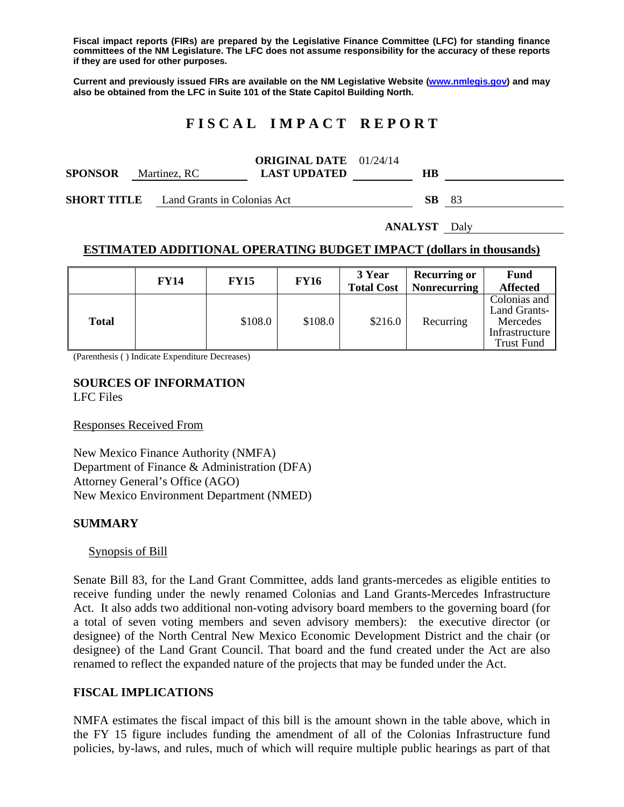**Fiscal impact reports (FIRs) are prepared by the Legislative Finance Committee (LFC) for standing finance committees of the NM Legislature. The LFC does not assume responsibility for the accuracy of these reports if they are used for other purposes.** 

**Current and previously issued FIRs are available on the NM Legislative Website (www.nmlegis.gov) and may also be obtained from the LFC in Suite 101 of the State Capitol Building North.** 

## **F I S C A L I M P A C T R E P O R T**

|                |              | <b>ORIGINAL DATE</b> 01/24/14 |    |  |
|----------------|--------------|-------------------------------|----|--|
| <b>SPONSOR</b> | Martinez, RC | <b>LAST UPDATED</b>           | HB |  |

**SHORT TITLE** Land Grants in Colonias Act **SB** 83

**ANALYST** Daly

#### **ESTIMATED ADDITIONAL OPERATING BUDGET IMPACT (dollars in thousands)**

|              | <b>FY14</b> | <b>FY15</b> | <b>FY16</b> | 3 Year<br><b>Total Cost</b> | <b>Recurring or</b><br><b>Nonrecurring</b> | Fund<br><b>Affected</b>                                                         |
|--------------|-------------|-------------|-------------|-----------------------------|--------------------------------------------|---------------------------------------------------------------------------------|
| <b>Total</b> |             | \$108.0     | \$108.0     | \$216.0                     | Recurring                                  | Colonias and<br>Land Grants-<br>Mercedes<br>Infrastructure<br><b>Trust Fund</b> |

(Parenthesis ( ) Indicate Expenditure Decreases)

# **SOURCES OF INFORMATION**

LFC Files

Responses Received From

New Mexico Finance Authority (NMFA) Department of Finance & Administration (DFA) Attorney General's Office (AGO) New Mexico Environment Department (NMED)

#### **SUMMARY**

Synopsis of Bill

Senate Bill 83, for the Land Grant Committee, adds land grants-mercedes as eligible entities to receive funding under the newly renamed Colonias and Land Grants-Mercedes Infrastructure Act. It also adds two additional non-voting advisory board members to the governing board (for a total of seven voting members and seven advisory members): the executive director (or designee) of the North Central New Mexico Economic Development District and the chair (or designee) of the Land Grant Council. That board and the fund created under the Act are also renamed to reflect the expanded nature of the projects that may be funded under the Act.

#### **FISCAL IMPLICATIONS**

NMFA estimates the fiscal impact of this bill is the amount shown in the table above, which in the FY 15 figure includes funding the amendment of all of the Colonias Infrastructure fund policies, by-laws, and rules, much of which will require multiple public hearings as part of that